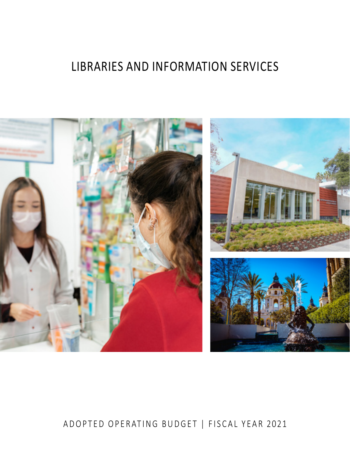# LIBRARIES AND INFORMATION SERVICES



# ADOPTED OPERATING BUDGET | FISCAL YEAR 2021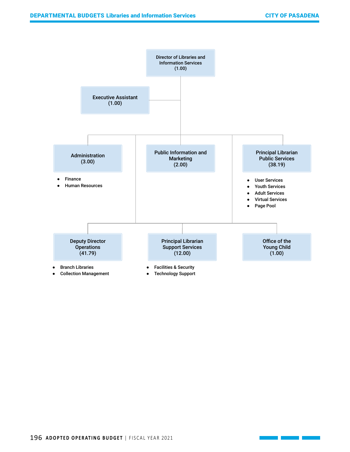

196 ADOPTED OPERATING BUDGET | FISCAL YEAR 2021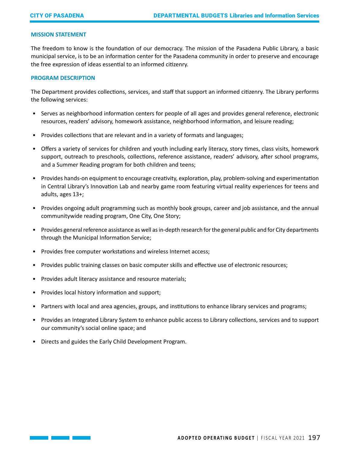# **MISSION STATEMENT**

The freedom to know is the foundation of our democracy. The mission of the Pasadena Public Library, a basic municipal service, is to be an information center for the Pasadena community in order to preserve and encourage the free expression of ideas essential to an informed citizenry.

#### **PROGRAM DESCRIPTION**

The Department provides collections, services, and staff that support an informed citizenry. The Library performs the following services:

- Serves as neighborhood information centers for people of all ages and provides general reference, electronic resources, readers' advisory, homework assistance, neighborhood information, and leisure reading;
- Provides collections that are relevant and in a variety of formats and languages;
- Offers a variety of services for children and youth including early literacy, story times, class visits, homework support, outreach to preschools, collections, reference assistance, readers' advisory, after school programs, and a Summer Reading program for both children and teens;
- Provides hands-on equipment to encourage creativity, exploration, play, problem-solving and experimentation in Central Library's Innovation Lab and nearby game room featuring virtual reality experiences for teens and adults, ages 13+;
- Provides ongoing adult programming such as monthly book groups, career and job assistance, and the annual communitywide reading program, One City, One Story;
- Provides general reference assistance as well as in-depth research for the general public and for City departments through the Municipal Information Service;
- Provides free computer workstations and wireless Internet access;
- Provides public training classes on basic computer skills and effective use of electronic resources;
- Provides adult literacy assistance and resource materials;
- Provides local history information and support;
- Partners with local and area agencies, groups, and institutions to enhance library services and programs;
- Provides an Integrated Library System to enhance public access to Library collections, services and to support our community's social online space; and
- Directs and guides the Early Child Development Program.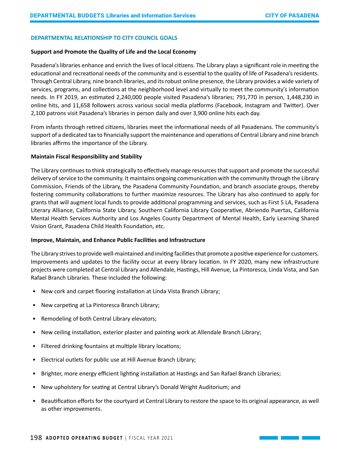# **DEPARTMENTAL RELATIONSHIP TO CITY COUNCIL GOALS**

#### **Support and Promote the Quality of Life and the Local Economy**

Pasadena's libraries enhance and enrich the lives of local citizens. The Library plays a significant role in meeting the educational and recreational needs of the community and is essential to the quality of life of Pasadena's residents. Through Central Library, nine branch libraries, and its robust online presence, the Library provides a wide variety of services, programs, and collections at the neighborhood level and virtually to meet the community's information needs. In FY 2019, an estimated 2,240,000 people visited Pasadena's libraries; 791,770 in person, 1,448,230 in online hits, and 11,658 followers across various social media platforms (Facebook, Instagram and Twitter). Over 2,100 patrons visit Pasadena's libraries in person daily and over 3,900 online hits each day.

From infants through retired citizens, libraries meet the informational needs of all Pasadenans. The community's support of a dedicated tax to financially support the maintenance and operations of Central Library and nine branch libraries affirms the importance of the Library.

#### **Maintain Fiscal Responsibility and Stability**

The Library continues to think strategically to effectively manage resources that support and promote the successful delivery of service to the community. It maintains ongoing communication with the community through the Library Commission, Friends of the Library, the Pasadena Community Foundation, and branch associate groups, thereby fostering community collaborations to further maximize resources. The Library has also continued to apply for grants that will augment local funds to provide additional programming and services, such as First 5 LA, Pasadena Literary Alliance, California State Library, Southern California Library Cooperative, Abriendo Puertas, California Mental Health Services Authority and Los Angeles County Department of Mental Health, Early Learning Shared Vision Grant, Pasadena Child Health Foundation, etc.

#### **Improve, Maintain, and Enhance Public Facilities and Infrastructure**

The Library strives to provide well-maintained and inviting facilities that promote a positive experience for customers. Improvements and updates to the facility occur at every library location. In FY 2020, many new infrastructure projects were completed at Central Library and Allendale, Hastings, Hill Avenue, La Pintoresca, Linda Vista, and San Rafael Branch Libraries. These included the following:

- New cork and carpet flooring installation at Linda Vista Branch Library;
- New carpeting at La Pintoresca Branch Library;
- Remodeling of both Central Library elevators;
- New ceiling installation, exterior plaster and painting work at Allendale Branch Library;
- Filtered drinking fountains at multiple library locations;
- Electrical outlets for public use at Hill Avenue Branch Library;
- Brighter, more energy efficient lighting installation at Hastings and San Rafael Branch Libraries;
- New upholstery for seating at Central Library's Donald Wright Auditorium; and
- Beautification efforts for the courtyard at Central Library to restore the space to its original appearance, as well as other improvements.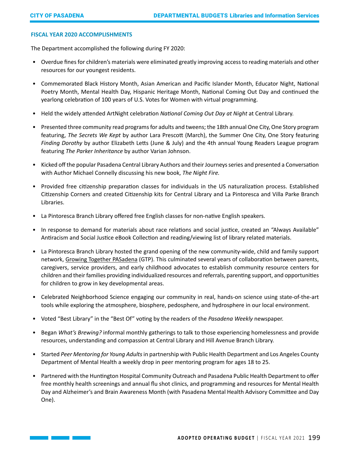# **FISCAL YEAR 2020 ACCOMPLISHMENTS**

The Department accomplished the following during FY 2020:

- Overdue fines for children's materials were eliminated greatly improving access to reading materials and other resources for our youngest residents.
- Commemorated Black History Month, Asian American and Pacific Islander Month, Educator Night, National Poetry Month, Mental Health Day, Hispanic Heritage Month, National Coming Out Day and continued the yearlong celebration of 100 years of U.S. Votes for Women with virtual programming.
- Held the widely attended ArtNight celebration *National Coming Out Day at Night* at Central Library.
- Presented three community read programs for adults and tweens; the 18th annual One City, One Story program featuring, *The Secrets We Kept* by author Lara Prescott (March), the Summer One City, One Story featuring *Finding Dorothy* by author Elizabeth Letts (June & July) and the 4th annual Young Readers League program featuring *The Parker Inheritance* by author Varian Johnson.
- Kicked off the popular Pasadena Central Library Authors and their Journeys series and presented a Conversation with Author Michael Connelly discussing his new book, *The Night Fire.*
- Provided free citizenship preparation classes for individuals in the US naturalization process. Established Citizenship Corners and created Citizenship kits for Central Library and La Pintoresca and Villa Parke Branch Libraries.
- La Pintoresca Branch Library offered free English classes for non-native English speakers.
- In response to demand for materials about race relations and social justice, created an "Always Available" Antiracism and Social Justice eBook Collection and reading/viewing list of library related materials.
- La Pintoresca Branch Library hosted the grand opening of the new community-wide, child and family support network, [Growing Together PASadena](https://gcc01.safelinks.protection.outlook.com/?url=http%3A%2F%2Fr20.rs6.net%2Ftn.jsp%3Ff%3D001wZcoFHXHDy1gwcsN5ux4fjt9bkqYXMjtyQJlgMlUTwzRJZCXLhrFlndoqh-vDuDDMrN9lD0MWaKXSWtxrcMNltEVYpXSU0mP5j2yZepRIroVM9PW-lx1Wprx2E08kYKhJt2b3qPCLATptGB1aYbSFtTOABNbyLEoErY42q_BREM%3D%26c%3DTStRWrl_s9i06GyD1x6AKY_7vnqR-c3qhOAGjES9T1D8XBRXns5X7Q%3D%3D%26ch%3D56ikbBbWjQT6hu1qNgMkblJ_9WqatC006WqRb0OUePCIxdIbBLcNUA%3D%3D&data=01%7C01%7Ccogrady%40cityofpasadena.net%7C753a61c797a44d23f39a08d7777d48e3%7C82d9fc002c664402a28fc6bcdc32e491%7C1&sdata=iQIIZ53hS5PsHO7IqPgFGttmq7oZFBybfTl44lUvpJg%3D&reserved=0) (GTP). This culminated several years of collaboration between parents, caregivers, service providers, and early childhood advocates to establish community resource centers for children and their families providing individualized resources and referrals, parenting support, and opportunities for children to grow in key developmental areas.
- Celebrated Neighborhood Science engaging our community in real, hands-on science using state-of-the-art tools while exploring the atmosphere, biosphere, pedosphere, and hydrosphere in our local environment.
- Voted "Best Library" in the "Best Of" voting by the readers of the *Pasadena Weekly* newspaper.
- Began *What's Brewing?* informal monthly gatherings to talk to those experiencing homelessness and provide resources, understanding and compassion at Central Library and Hill Avenue Branch Library.
- Started *Peer Mentoring for Young Adults* in partnership with Public Health Department and Los Angeles County Department of Mental Health a weekly drop in peer mentoring program for ages 18 to 25.
- Partnered with the Huntington Hospital Community Outreach and Pasadena Public Health Department to offer free monthly health screenings and annual flu shot clinics, and programming and resources for Mental Health Day and Alzheimer's and Brain Awareness Month (with Pasadena Mental Health Advisory Committee and Day One).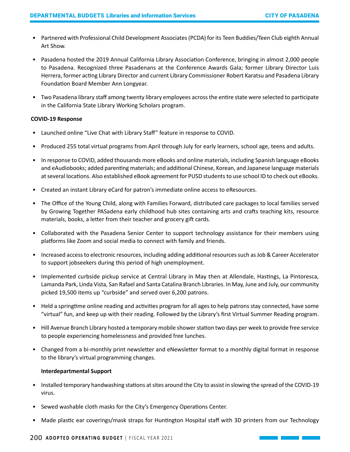- Partnered with Professional Child Development Associates (PCDA) for its Teen Buddies/Teen Club eighth Annual Art Show.
- Pasadena hosted the 2019 Annual California Library Association Conference, bringing in almost 2,000 people to Pasadena. Recognized three Pasadenans at the Conference Awards Gala; former Library Director Luis Herrera, former acting Library Director and current Library Commissioner Robert Karatsu and Pasadena Library Foundation Board Member Ann Longyear.
- Two Pasadena library staff among twenty library employees across the entire state were selected to participate in the California State Library Working Scholars program.

# **COVID-19 Response**

- Launched online "Live Chat with Library Staff" feature in response to COVID.
- Produced 255 total virtual programs from April through July for early learners, school age, teens and adults.
- In response to COVID, added thousands more eBooks and online materials, including Spanish language eBooks and eAudiobooks; added parenting materials; and additional Chinese, Korean, and Japanese language materials at several locations. Also established eBook agreement for PUSD students to use school ID to check out eBooks.
- Created an instant Library eCard for patron's immediate online access to eResources.
- The Office of the Young Child, along with Families Forward, distributed care packages to local families served by Growing Together PASadena early childhood hub sites containing arts and crafts teaching kits, resource materials, books, a letter from their teacher and grocery gift cards.
- Collaborated with the Pasadena Senior Center to support technology assistance for their members using platforms like Zoom and social media to connect with family and friends.
- Increased access to electronic resources, including adding additional resources such as Job & Career Accelerator to support jobseekers during this period of high unemployment.
- Implemented curbside pickup service at Central Library in May then at Allendale, Hastings, La Pintoresca, Lamanda Park, Linda Vista, San Rafael and Santa Catalina Branch Libraries. In May, June and July, our community picked 19,500 items up "curbside" and served over 6,200 patrons.
- Held a springtime online reading and activities program for all ages to help patrons stay connected, have some "virtual" fun, and keep up with their reading. Followed by the Library's first Virtual Summer Reading program.
- Hill Avenue Branch Library hosted a temporary mobile shower station two days per week to provide free service to people experiencing homelessness and provided free lunches.
- Changed from a bi-monthly print newsletter and eNewsletter format to a monthly digital format in response to the library's virtual programming changes.

# **Interdepartmental Support**

- Installed temporary handwashing stations at sites around the City to assist in slowing the spread of the COVID-19 virus.
- Sewed washable cloth masks for the City's Emergency Operations Center.
- Made plastic ear coverings/mask straps for Huntington Hospital staff with 3D printers from our Technology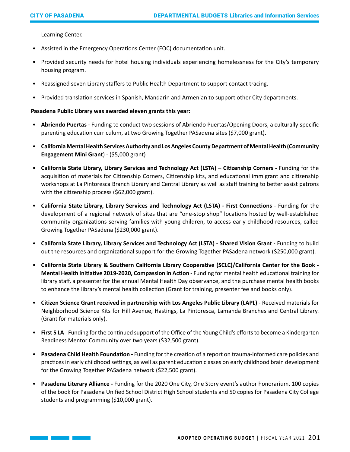Learning Center.

- Assisted in the Emergency Operations Center (EOC) documentation unit.
- Provided security needs for hotel housing individuals experiencing homelessness for the City's temporary housing program.
- Reassigned seven Library staffers to Public Health Department to support contact tracing.
- Provided translation services in Spanish, Mandarin and Armenian to support other City departments.

# **Pasadena Public Library was awarded eleven grants this year:**

- **Abriendo Puertas** Funding to conduct two sessions of Abriendo Puertas/Opening Doors, a culturally-specific parenting education curriculum, at two Growing Together PASadena sites (\$7,000 grant).
- **California Mental Health Services Authority and Los Angeles County Department of Mental Health (Community Engagement Mini Grant**) - (\$5,000 grant)
- **California State Library, Library Services and Technology Act (LSTA) Citizenship Corners** Funding for the acquisition of materials for Citizenship Corners, Citizenship kits, and educational immigrant and citizenship workshops at La Pintoresca Branch Library and Central Library as well as staff training to better assist patrons with the citizenship process (\$62,000 grant).
- **California State Library, Library Services and Technology Act (LSTA) First Connections** Funding for the development of a regional network of sites that are "one-stop shop" locations hosted by well-established community organizations serving families with young children, to access early childhood resources, called Growing Together PASadena (\$230,000 grant).
- **California State Library, Library Services and Technology Act (LSTA) Shared Vision Grant**Funding to build out the resources and organizational support for the Growing Together PASadena network (\$250,000 grant).
- **California State Library & Southern California Library Cooperative (SCLC)/California Center for the Book Mental Health Initiative 2019-2020, Compassion in Action** - Funding for mental health educational training for library staff, a presenter for the annual Mental Health Day observance, and the purchase mental health books to enhance the library's mental health collection (Grant for training, presenter fee and books only).
- **Citizen Science Grant received in partnership with Los Angeles Public Library (LAPL)** Received materials for Neighborhood Science Kits for Hill Avenue, Hastings, La Pintoresca, Lamanda Branches and Central Library. (Grant for materials only).
- **First 5 LA** Funding for the continued support of the Office of the Young Child's efforts to become a Kindergarten Readiness Mentor Community over two years (\$32,500 grant).
- **Pasadena Child Health Foundation** Funding for the creation of a report on trauma-informed care policies and practices in early childhood settings, as well as parent education classes on early childhood brain development for the Growing Together PASadena network (\$22,500 grant).
- **Pasadena Literary Alliance** Funding for the 2020 One City, One Story event's author honorarium, 100 copies of the book for Pasadena Unified School District High School students and 50 copies for Pasadena City College students and programming (\$10,000 grant).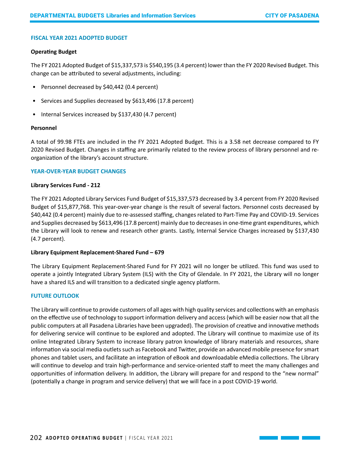# **FISCAL YEAR 2021 ADOPTED BUDGET**

#### **Operating Budget**

The FY 2021 Adopted Budget of \$15,337,573 is \$540,195 (3.4 percent) lower than the FY 2020 Revised Budget. This change can be attributed to several adjustments, including:

- Personnel decreased by \$40,442 (0.4 percent)
- Services and Supplies decreased by \$613,496 (17.8 percent)
- Internal Services increased by \$137,430 (4.7 percent)

# **Personnel**

A total of 99.98 FTEs are included in the FY 2021 Adopted Budget. This is a 3.58 net decrease compared to FY 2020 Revised Budget. Changes in staffing are primarily related to the review process of library personnel and reorganization of the library's account structure.

#### **YEAR-OVER-YEAR BUDGET CHANGES**

#### **Library Services Fund - 212**

The FY 2021 Adopted Library Services Fund Budget of \$15,337,573 decreased by 3.4 percent from FY 2020 Revised Budget of \$15,877,768. This year-over-year change is the result of several factors. Personnel costs decreased by \$40,442 (0.4 percent) mainly due to re-assessed staffing, changes related to Part-Time Pay and COVID-19. Services and Supplies decreased by \$613,496 (17.8 percent) mainly due to decreases in one-time grant expenditures, which the Library will look to renew and research other grants. Lastly, Internal Service Charges increased by \$137,430 (4.7 percent).

# **Library Equipment Replacement-Shared Fund – 679**

The Library Equipment Replacement-Shared Fund for FY 2021 will no longer be utilized. This fund was used to operate a jointly Integrated Library System (ILS) with the City of Glendale. In FY 2021, the Library will no longer have a shared ILS and will transition to a dedicated single agency platform.

# **FUTURE OUTLOOK**

The Library will continue to provide customers of all ages with high quality services and collections with an emphasis on the effective use of technology to support information delivery and access (which will be easier now that all the public computers at all Pasadena Libraries have been upgraded). The provision of creative and innovative methods for delivering service will continue to be explored and adopted. The Library will continue to maximize use of its online Integrated Library System to increase library patron knowledge of library materials and resources, share information via social media outlets such as Facebook and Twitter, provide an advanced mobile presence for smart phones and tablet users, and facilitate an integration of eBook and downloadable eMedia collections. The Library will continue to develop and train high-performance and service-oriented staff to meet the many challenges and opportunities of information delivery. In addition, the Library will prepare for and respond to the "new normal" (potentially a change in program and service delivery) that we will face in a post COVID-19 world.